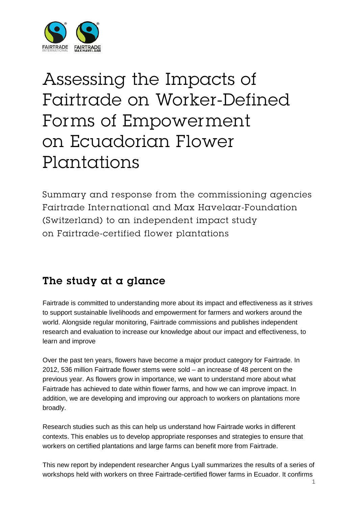

# Assessing the Impacts of Fairtrade on Worker-Defined Forms of Empowerment on Ecuadorian Flower Plantations

Summary and response from the commissioning agencies Fairtrade International and Max Havelaar-Foundation (Switzerland) to an independent impact study on Fairtrade-certified flower plantations

### The study at a glance

Fairtrade is committed to understanding more about its impact and effectiveness as it strives to support sustainable livelihoods and empowerment for farmers and workers around the world. Alongside regular monitoring, Fairtrade commissions and publishes independent research and evaluation to increase our knowledge about our impact and effectiveness, to learn and improve

Over the past ten years, flowers have become a major product category for Fairtrade. In 2012, 536 million Fairtrade flower stems were sold – an increase of 48 percent on the previous year. As flowers grow in importance, we want to understand more about what Fairtrade has achieved to date within flower farms, and how we can improve impact. In addition, we are developing and improving our approach to workers on plantations more broadly.

Research studies such as this can help us understand how Fairtrade works in different contexts. This enables us to develop appropriate responses and strategies to ensure that workers on certified plantations and large farms can benefit more from Fairtrade.

This new report by independent researcher Angus Lyall summarizes the results of a series of workshops held with workers on three Fairtrade-certified flower farms in Ecuador. It confirms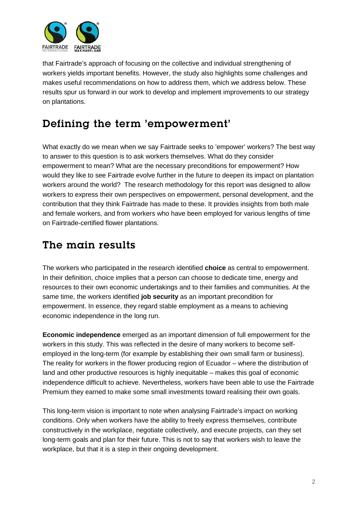

that Fairtrade's approach of focusing on the collective and individual strengthening of workers yields important benefits. However, the study also highlights some challenges and makes useful recommendations on how to address them, which we address below. These results spur us forward in our work to develop and implement improvements to our strategy on plantations.

## Defining the term 'empowerment'

What exactly do we mean when we say Fairtrade seeks to 'empower' workers? The best way to answer to this question is to ask workers themselves. What do they consider empowerment to mean? What are the necessary preconditions for empowerment? How would they like to see Fairtrade evolve further in the future to deepen its impact on plantation workers around the world? The research methodology for this report was designed to allow workers to express their own perspectives on empowerment, personal development, and the contribution that they think Fairtrade has made to these. It provides insights from both male and female workers, and from workers who have been employed for various lengths of time on Fairtrade-certified flower plantations.

## The main results

The workers who participated in the research identified **choice** as central to empowerment. In their definition, choice implies that a person can choose to dedicate time, energy and resources to their own economic undertakings and to their families and communities. At the same time, the workers identified **job security** as an important precondition for empowerment. In essence, they regard stable employment as a means to achieving economic independence in the long run.

**Economic independence** emerged as an important dimension of full empowerment for the workers in this study. This was reflected in the desire of many workers to become selfemployed in the long-term (for example by establishing their own small farm or business). The reality for workers in the flower producing region of Ecuador – where the distribution of land and other productive resources is highly inequitable – makes this goal of economic independence difficult to achieve. Nevertheless, workers have been able to use the Fairtrade Premium they earned to make some small investments toward realising their own goals.

This long-term vision is important to note when analysing Fairtrade's impact on working conditions. Only when workers have the ability to freely express themselves, contribute constructively in the workplace, negotiate collectively, and execute projects, can they set long-term goals and plan for their future. This is not to say that workers wish to leave the workplace, but that it is a step in their ongoing development.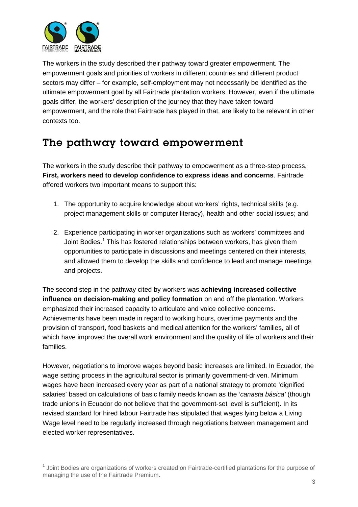

The workers in the study described their pathway toward greater empowerment. The empowerment goals and priorities of workers in different countries and different product sectors may differ – for example, self-employment may not necessarily be identified as the ultimate empowerment goal by all Fairtrade plantation workers. However, even if the ultimate goals differ, the workers' description of the journey that they have taken toward empowerment, and the role that Fairtrade has played in that, are likely to be relevant in other contexts too.

## The pathway toward empowerment

The workers in the study describe their pathway to empowerment as a three-step process. **First, workers need to develop confidence to express ideas and concerns**. Fairtrade offered workers two important means to support this:

- 1. The opportunity to acquire knowledge about workers' rights, technical skills (e.g. project management skills or computer literacy), health and other social issues; and
- 2. Experience participating in worker organizations such as workers' committees and Joint Bodies. [1](#page-2-0) This has fostered relationships between workers, has given them opportunities to participate in discussions and meetings centered on their interests, and allowed them to develop the skills and confidence to lead and manage meetings and projects.

The second step in the pathway cited by workers was **achieving increased collective influence on decision-making and policy formation** on and off the plantation. Workers emphasized their increased capacity to articulate and voice collective concerns. Achievements have been made in regard to working hours, overtime payments and the provision of transport, food baskets and medical attention for the workers' families, all of which have improved the overall work environment and the quality of life of workers and their families.

However, negotiations to improve wages beyond basic increases are limited. In Ecuador, the wage setting process in the agricultural sector is primarily government-driven. Minimum wages have been increased every year as part of a national strategy to promote 'dignified salaries' based on calculations of basic family needs known as the '*canasta básica'* (though trade unions in Ecuador do not believe that the government-set level is sufficient). In its revised standard for hired labour Fairtrade has stipulated that wages lying below a Living Wage level need to be regularly increased through negotiations between management and elected worker representatives.

<span id="page-2-0"></span> $1$  Joint Bodies are organizations of workers created on Fairtrade-certified plantations for the purpose of managing the use of the Fairtrade Premium.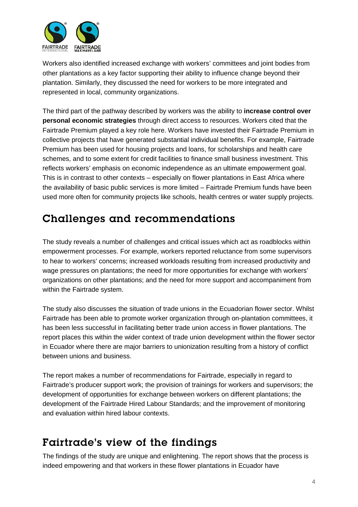

Workers also identified increased exchange with workers' committees and joint bodies from other plantations as a key factor supporting their ability to influence change beyond their plantation. Similarly, they discussed the need for workers to be more integrated and represented in local, community organizations.

The third part of the pathway described by workers was the ability to **increase control over personal economic strategies** through direct access to resources. Workers cited that the Fairtrade Premium played a key role here. Workers have invested their Fairtrade Premium in collective projects that have generated substantial individual benefits. For example, Fairtrade Premium has been used for housing projects and loans, for scholarships and health care schemes, and to some extent for credit facilities to finance small business investment. This reflects workers' emphasis on economic independence as an ultimate empowerment goal. This is in contrast to other contexts – especially on flower plantations in East Africa where the availability of basic public services is more limited – Fairtrade Premium funds have been used more often for community projects like schools, health centres or water supply projects.

### Challenges and recommendations

The study reveals a number of challenges and critical issues which act as roadblocks within empowerment processes. For example, workers reported reluctance from some supervisors to hear to workers' concerns; increased workloads resulting from increased productivity and wage pressures on plantations; the need for more opportunities for exchange with workers' organizations on other plantations; and the need for more support and accompaniment from within the Fairtrade system.

The study also discusses the situation of trade unions in the Ecuadorian flower sector. Whilst Fairtrade has been able to promote worker organization through on-plantation committees, it has been less successful in facilitating better trade union access in flower plantations. The report places this within the wider context of trade union development within the flower sector in Ecuador where there are major barriers to unionization resulting from a history of conflict between unions and business.

The report makes a number of recommendations for Fairtrade, especially in regard to Fairtrade's producer support work; the provision of trainings for workers and supervisors; the development of opportunities for exchange between workers on different plantations; the development of the Fairtrade Hired Labour Standards; and the improvement of monitoring and evaluation within hired labour contexts.

### Fairtrade's view of the findings

The findings of the study are unique and enlightening. The report shows that the process is indeed empowering and that workers in these flower plantations in Ecuador have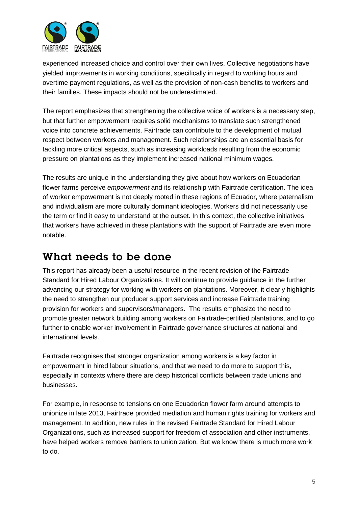

experienced increased choice and control over their own lives. Collective negotiations have yielded improvements in working conditions, specifically in regard to working hours and overtime payment regulations, as well as the provision of non-cash benefits to workers and their families. These impacts should not be underestimated.

The report emphasizes that strengthening the collective voice of workers is a necessary step, but that further empowerment requires solid mechanisms to translate such strengthened voice into concrete achievements. Fairtrade can contribute to the development of mutual respect between workers and management. Such relationships are an essential basis for tackling more critical aspects, such as increasing workloads resulting from the economic pressure on plantations as they implement increased national minimum wages.

The results are unique in the understanding they give about how workers on Ecuadorian flower farms perceive *empowerment* and its relationship with Fairtrade certification. The idea of worker empowerment is not deeply rooted in these regions of Ecuador, where paternalism and individualism are more culturally dominant ideologies. Workers did not necessarily use the term or find it easy to understand at the outset. In this context, the collective initiatives that workers have achieved in these plantations with the support of Fairtrade are even more notable.

## What needs to be done

This report has already been a useful resource in the recent revision of the Fairtrade Standard for Hired Labour Organizations. It will continue to provide guidance in the further advancing our strategy for working with workers on plantations. Moreover, it clearly highlights the need to strengthen our producer support services and increase Fairtrade training provision for workers and supervisors/managers. The results emphasize the need to promote greater network building among workers on Fairtrade-certified plantations, and to go further to enable worker involvement in Fairtrade governance structures at national and international levels.

Fairtrade recognises that stronger organization among workers is a key factor in empowerment in hired labour situations, and that we need to do more to support this, especially in contexts where there are deep historical conflicts between trade unions and businesses.

For example, in response to tensions on one Ecuadorian flower farm around attempts to unionize in late 2013, Fairtrade provided mediation and human rights training for workers and management. In addition, new rules in the revised Fairtrade Standard for Hired Labour Organizations, such as increased support for freedom of association and other instruments, have helped workers remove barriers to unionization*.* But we know there is much more work to do.